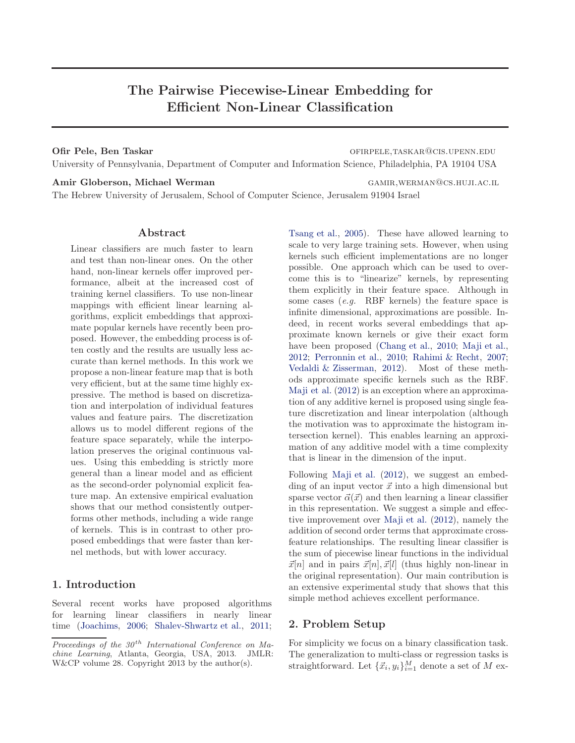# The Pairwise Piecewise-Linear Embedding for Efficient Non-Linear Classification

Ofir Pele, Ben Taskar and Taskar of the Communication of the Communication of the Communication of the Communication of the Communication of the Communication of the Communication of the Communication of the Communication University of Pennsylvania, Department of Computer and Information Science, Philadelphia, PA 19104 USA

Amir Globerson, Michael Werman GAMIR, WERMAN GOS.HUJI.AC.IL The Hebrew University of Jerusalem, School of Computer Science, Jerusalem 91904 Israel

#### Abstract

Linear classifiers are much faster to learn and test than non-linear ones. On the other hand, non-linear kernels offer improved performance, albeit at the increased cost of training kernel classifiers. To use non-linear mappings with efficient linear learning algorithms, explicit embeddings that approximate popular kernels have recently been proposed. However, the embedding process is often costly and the results are usually less accurate than kernel methods. In this work we propose a non-linear feature map that is both very efficient, but at the same time highly expressive. The method is based on discretization and interpolation of individual features values and feature pairs. The discretization allows us to model different regions of the feature space separately, while the interpolation preserves the original continuous values. Using this embedding is strictly more general than a linear model and as efficient as the second-order polynomial explicit feature map. An extensive empirical evaluation shows that our method consistently outperforms other methods, including a wide range of kernels. This is in contrast to other proposed embeddings that were faster than kernel methods, but with lower accuracy.

# 1. Introduction

Several recent works have proposed algorithms for learning linear classifiers in nearly linear time [\(Joachims,](#page-8-0) [2006](#page-8-0); [Shalev-Shwartz et al.](#page-8-0), [2011;](#page-8-0) [Tsang et al.,](#page-8-0) [2005\)](#page-8-0). These have allowed learning to scale to very large training sets. However, when using kernels such efficient implementations are no longer possible. One approach which can be used to overcome this is to "linearize" kernels, by representing them explicitly in their feature space. Although in some cases (*e.g.* RBF kernels) the feature space is infinite dimensional, approximations are possible. Indeed, in recent works several embeddings that approximate known kernels or give their exact form have been proposed [\(Chang et al.,](#page-8-0) [2010;](#page-8-0) [Maji et al.,](#page-8-0) [2012;](#page-8-0) [Perronnin et al.,](#page-8-0) [2010;](#page-8-0) [Rahimi & Recht,](#page-8-0) [2007;](#page-8-0) [Vedaldi & Zisserman,](#page-8-0) [2012\)](#page-8-0). Most of these methods approximate specific kernels such as the RBF. [Maji et al.](#page-8-0) [\(2012\)](#page-8-0) is an exception where an approximation of any additive kernel is proposed using single feature discretization and linear interpolation (although the motivation was to approximate the histogram intersection kernel). This enables learning an approximation of any additive model with a time complexity that is linear in the dimension of the input.

Following [Maji et al.](#page-8-0) [\(2012\)](#page-8-0), we suggest an embedding of an input vector  $\vec{x}$  into a high dimensional but sparse vector  $\vec{\alpha}(\vec{x})$  and then learning a linear classifier in this representation. We suggest a simple and effective improvement over [Maji et al.](#page-8-0) [\(2012\)](#page-8-0), namely the addition of second order terms that approximate crossfeature relationships. The resulting linear classifier is the sum of piecewise linear functions in the individual  $\vec{x}[n]$  and in pairs  $\vec{x}[n], \vec{x}[l]$  (thus highly non-linear in the original representation). Our main contribution is an extensive experimental study that shows that this simple method achieves excellent performance.

# 2. Problem Setup

For simplicity we focus on a binary classification task. The generalization to multi-class or regression tasks is straightforward. Let  $\{\vec{x}_i, y_i\}_{i=1}^M$  denote a set of  $M$  ex-

Proceedings of the  $30<sup>th</sup>$  International Conference on Machine Learning, Atlanta, Georgia, USA, 2013. JMLR: W&CP volume 28. Copyright 2013 by the author(s).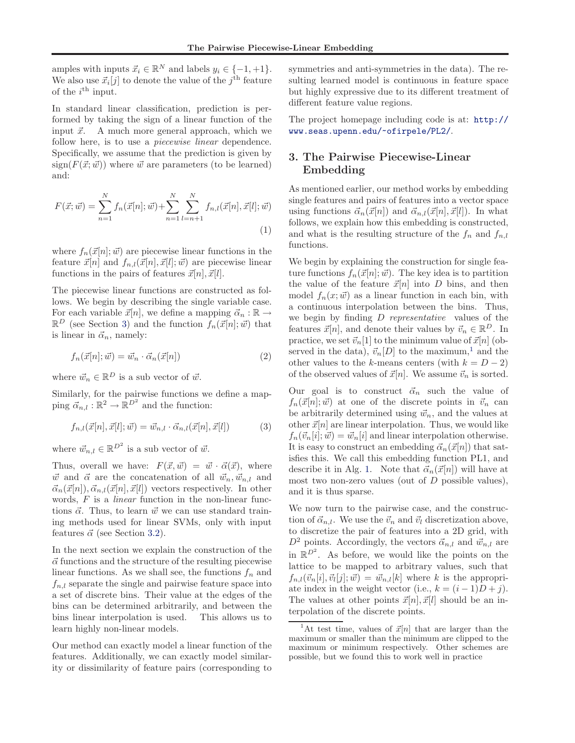amples with inputs  $\vec{x}_i \in \mathbb{R}^N$  and labels  $y_i \in \{-1, +1\}.$ We also use  $\vec{x}_i[j]$  to denote the value of the  $j^{\text{th}}$  feature of the  $i^{\text{th}}$  input.

In standard linear classification, prediction is performed by taking the sign of a linear function of the input  $\vec{x}$ . A much more general approach, which we follow here, is to use a *piecewise linear* dependence. Specifically, we assume that the prediction is given by  $sign(F(\vec{x}; \vec{w}))$  where  $\vec{w}$  are parameters (to be learned) and:

$$
F(\vec{x}; \vec{w}) = \sum_{n=1}^{N} f_n(\vec{x}[n]; \vec{w}) + \sum_{n=1}^{N} \sum_{l=n+1}^{N} f_{n,l}(\vec{x}[n], \vec{x}[l]; \vec{w})
$$
\n(1)

where  $f_n(\vec{x}[n]; \vec{w})$  are piecewise linear functions in the feature  $\vec{x}[n]$  and  $f_{n,l}(\vec{x}[n], \vec{x}[l]; \vec{w})$  are piecewise linear functions in the pairs of features  $\vec{x}[n], \vec{x}[l].$ 

The piecewise linear functions are constructed as follows. We begin by describing the single variable case. For each variable  $\vec{x}[n]$ , we define a mapping  $\vec{\alpha}_n : \mathbb{R} \to$  $\mathbb{R}^D$  (see Section 3) and the function  $f_n(\vec{x}[n]; \vec{w})$  that is linear in  $\vec{\alpha}_n$ , namely:

$$
f_n(\vec{x}[n]; \vec{w}) = \vec{w}_n \cdot \vec{\alpha}_n(\vec{x}[n]) \tag{2}
$$

where  $\vec{w}_n \in \mathbb{R}^D$  is a sub vector of  $\vec{w}$ .

Similarly, for the pairwise functions we define a mapping  $\vec{\alpha}_{n,l} : \mathbb{R}^2 \to \mathbb{R}^{D^2}$  and the function:

$$
f_{n,l}(\vec{x}[n], \vec{x}[l]; \vec{w}) = \vec{w}_{n,l} \cdot \vec{\alpha}_{n,l}(\vec{x}[n], \vec{x}[l])
$$
\n(3)

where  $\vec{w}_{n,l} \in \mathbb{R}^{D^2}$  is a sub vector of  $\vec{w}$ .

Thus, overall we have:  $F(\vec{x}, \vec{w}) = \vec{w} \cdot \vec{\alpha}(\vec{x})$ , where  $\vec{w}$  and  $\vec{\alpha}$  are the concatenation of all  $\vec{w}_n, \vec{w}_{n,l}$  and  $\vec{\alpha}_n(\vec{x}[n]), \vec{\alpha}_{n,l}(\vec{x}[n], \vec{x}[l])$  vectors respectively. In other words, F is a *linear* function in the non-linear functions  $\vec{\alpha}$ . Thus, to learn  $\vec{w}$  we can use standard training methods used for linear SVMs, only with input features  $\vec{\alpha}$  (see Section [3.2\)](#page-3-0).

In the next section we explain the construction of the  $\vec{\alpha}$  functions and the structure of the resulting piecewise linear functions. As we shall see, the functions  $f_n$  and  $f_{n,l}$  separate the single and pairwise feature space into a set of discrete bins. Their value at the edges of the bins can be determined arbitrarily, and between the bins linear interpolation is used. This allows us to learn highly non-linear models.

Our method can exactly model a linear function of the features. Additionally, we can exactly model similarity or dissimilarity of feature pairs (corresponding to symmetries and anti-symmetries in the data). The resulting learned model is continuous in feature space but highly expressive due to its different treatment of different feature value regions.

The project homepage including code is at: [http://](http://www.seas.upenn.edu/~ofirpele/PL2/) [www.seas.upenn.edu/~ofirpele/PL2/](http://www.seas.upenn.edu/~ofirpele/PL2/).

# 3. The Pairwise Piecewise-Linear Embedding

As mentioned earlier, our method works by embedding single features and pairs of features into a vector space using functions  $\vec{\alpha}_n(\vec{x}[n])$  and  $\vec{\alpha}_{n,l}(\vec{x}[n], \vec{x}[l])$ . In what follows, we explain how this embedding is constructed, and what is the resulting structure of the  $f_n$  and  $f_{n,l}$ functions.

We begin by explaining the construction for single feature functions  $f_n(\vec{x}[n]; \vec{w})$ . The key idea is to partition the value of the feature  $\vec{x}[n]$  into D bins, and then model  $f_n(x; \vec{w})$  as a linear function in each bin, with a continuous interpolation between the bins. Thus, we begin by finding D *representative* values of the features  $\vec{x}[n]$ , and denote their values by  $\vec{v}_n \in \mathbb{R}^D$ . In practice, we set  $\vec{v}_n[1]$  to the minimum value of  $\vec{x}[n]$  (observed in the data),  $\vec{v}_n[D]$  to the maximum,<sup>1</sup> and the other values to the k-means centers (with  $k = D - 2$ ) of the observed values of  $\vec{x}[n].$  We assume  $\vec{v}_n$  is sorted.

Our goal is to construct  $\vec{\alpha}_n$  such the value of  $f_n(\vec{x}[n]; \vec{w})$  at one of the discrete points in  $\vec{v}_n$  can be arbitrarily determined using  $\vec{w}_n$ , and the values at other  $\vec{x}[n]$  are linear interpolation. Thus, we would like  $f_n(\vec{v}_n[i]; \vec{w}) = \vec{w}_n[i]$  and linear interpolation otherwise. It is easy to construct an embedding  $\vec{\alpha}_n(\vec{x}[n])$  that satisfies this. We call this embedding function PL1, and describe it in Alg. [1.](#page-2-0) Note that  $\vec{\alpha}_n(\vec{x}[n])$  will have at most two non-zero values (out of  $D$  possible values), and it is thus sparse.

We now turn to the pairwise case, and the construction of  $\vec{\alpha}_{n,l}$ . We use the  $\vec{v}_n$  and  $\vec{v}_l$  discretization above, to discretize the pair of features into a 2D grid, with  $D^2$  points. Accordingly, the vectors  $\vec{\alpha}_{n,l}$  and  $\vec{w}_{n,l}$  are in  $\mathbb{R}^{D^2}$ . As before, we would like the points on the lattice to be mapped to arbitrary values, such that  $f_{n,l}(\vec{v}_n[i], \vec{v}_l[j]; \vec{w}) = \vec{w}_{n,l}[k]$  where k is the appropriate index in the weight vector (i.e.,  $k = (i - 1)D + j$ ). The values at other points  $\vec{x}[n], \vec{x}[l]$  should be an interpolation of the discrete points.

<sup>&</sup>lt;sup>1</sup>At test time, values of  $\vec{x}[n]$  that are larger than the maximum or smaller than the minimum are clipped to the maximum or minimum respectively. Other schemes are possible, but we found this to work well in practice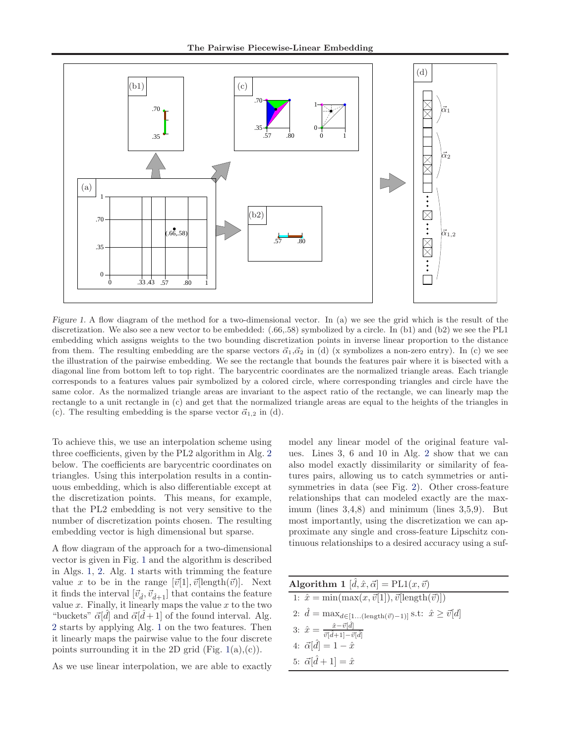<span id="page-2-0"></span>

Figure 1. A flow diagram of the method for a two-dimensional vector. In (a) we see the grid which is the result of the discretization. We also see a new vector to be embedded: (.66,.58) symbolized by a circle. In (b1) and (b2) we see the PL1 embedding which assigns weights to the two bounding discretization points in inverse linear proportion to the distance from them. The resulting embedding are the sparse vectors  $\vec{\alpha}_1,\vec{\alpha}_2$  in (d) (x symbolizes a non-zero entry). In (c) we see the illustration of the pairwise embedding. We see the rectangle that bounds the features pair where it is bisected with a diagonal line from bottom left to top right. The barycentric coordinates are the normalized triangle areas. Each triangle corresponds to a features values pair symbolized by a colored circle, where corresponding triangles and circle have the same color. As the normalized triangle areas are invariant to the aspect ratio of the rectangle, we can linearly map the rectangle to a unit rectangle in (c) and get that the normalized triangle areas are equal to the heights of the triangles in (c). The resulting embedding is the sparse vector  $\vec{\alpha}_{1,2}$  in (d).

To achieve this, we use an interpolation scheme using three coefficients, given by the PL2 algorithm in Alg. [2](#page-3-0) below. The coefficients are barycentric coordinates on triangles. Using this interpolation results in a continuous embedding, which is also differentiable except at the discretization points. This means, for example, that the PL2 embedding is not very sensitive to the number of discretization points chosen. The resulting embedding vector is high dimensional but sparse.

A flow diagram of the approach for a two-dimensional vector is given in Fig. 1 and the algorithm is described in Algs. 1, [2.](#page-3-0) Alg. 1 starts with trimming the feature value x to be in the range  $[\vec{v}[1], \vec{v}]\text{length}(\vec{v})]$ . Next it finds the interval  $[\vec{v}_{\hat{d}}, \vec{v}_{\hat{d}+1}]$  that contains the feature value  $x$ . Finally, it linearly maps the value  $x$  to the two "buckets"  $\vec{\alpha}[d]$  and  $\vec{\alpha}[d+1]$  of the found interval. Alg. [2](#page-3-0) starts by applying Alg. 1 on the two features. Then it linearly maps the pairwise value to the four discrete points surrounding it in the 2D grid (Fig.  $1(a),(c)$ ).

As we use linear interpolation, we are able to exactly

model any linear model of the original feature values. Lines 3, 6 and 10 in Alg. [2](#page-3-0) show that we can also model exactly dissimilarity or similarity of features pairs, allowing us to catch symmetries or antisymmetries in data (see Fig. [2\)](#page-3-0). Other cross-feature relationships that can modeled exactly are the maximum (lines 3,4,8) and minimum (lines 3,5,9). But most importantly, using the discretization we can approximate any single and cross-feature Lipschitz continuous relationships to a desired accuracy using a suf-

| Algorithm 1 $[\hat{d}, \hat{x}, \vec{\alpha}] = \text{PL1}(x, \vec{v})$                        |
|------------------------------------------------------------------------------------------------|
| 1: $\hat{x} = \min(\max(x, \vec{v}[1]), \vec{v}[\text{length}(\vec{v})])$                      |
| 2: $\hat{d} = \max_{d \in [1(\text{length}(\vec{v})-1)]} \text{s.t: } \hat{x} \geq \vec{v}[d]$ |
| 3: $\hat{x} = \frac{\hat{x} - \vec{v}[\hat{d}]}{\vec{v}[\hat{d}+1] - \vec{v}[\hat{d}]}$        |
| 4: $\vec{\alpha}[\hat{d}] = 1 - \hat{x}$                                                       |
| 5: $\vec{\alpha}[\hat{d} + 1] = \hat{x}$                                                       |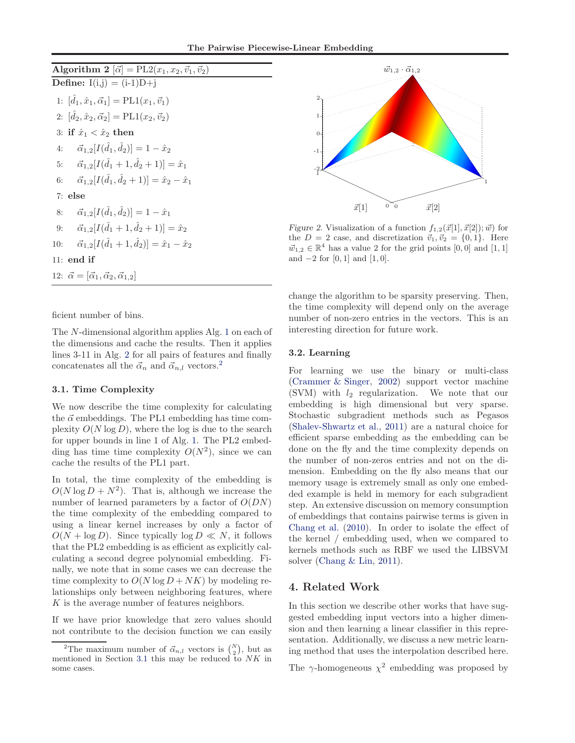<span id="page-3-0"></span>Algorithm 2  $[\vec{\alpha}] = PL2(x_1, x_2, \vec{v}_1, \vec{v}_2)$ **Define:**  $I(i,j) = (i-1)D+i$ 1:  $[\hat{d}_1, \hat{x}_1, \vec{\alpha}_1] = \text{PL1}(x_1, \vec{v}_1)$ 2:  $[\hat{d}_2, \hat{x}_2, \vec{\alpha}_2] = \text{PL1}(x_2, \vec{v}_2)$ 3: if  $\hat{x}_1 < \hat{x}_2$  then 4:  $\vec{\alpha}_{1,2}[I(\hat{d}_1, \hat{d}_2)] = 1 - \hat{x}_2$ 5:  $\vec{\alpha}_{1,2}[I(\hat{d}_1+1,\hat{d}_2+1)] = \hat{x}_1$ 6:  $\vec{\alpha}_{1,2}[I(\hat{d}_1, \hat{d}_2+1)] = \hat{x}_2 - \hat{x}_1$ 7: else 8:  $\vec{\alpha}_{1,2}[I(\hat{d}_1, \hat{d}_2)] = 1 - \hat{x}_1$ 9:  $\vec{\alpha}_{1,2}[I(\hat{d}_1+1,\hat{d}_2+1)] = \hat{x}_2$ 10:  $\vec{\alpha}_{1,2}[I(\hat{d}_1+1,\hat{d}_2)] = \hat{x}_1 - \hat{x}_2$ 11: end if 12:  $\vec{\alpha} = [\vec{\alpha}_1, \vec{\alpha}_2, \vec{\alpha}_{1,2}]$ 

ficient number of bins.

The N-dimensional algorithm applies Alg. [1](#page-2-0) on each of the dimensions and cache the results. Then it applies lines 3-11 in Alg. 2 for all pairs of features and finally concatenates all the  $\vec{\alpha}_n$  and  $\vec{\alpha}_{n,l}$  vectors.<sup>2</sup>

#### 3.1. Time Complexity

We now describe the time complexity for calculating the  $\vec{\alpha}$  embeddings. The PL1 embedding has time complexity  $O(N \log D)$ , where the log is due to the search for upper bounds in line 1 of Alg. [1.](#page-2-0) The PL2 embedding has time time complexity  $O(N^2)$ , since we can cache the results of the PL1 part.

In total, the time complexity of the embedding is  $O(N \log D + N^2)$ . That is, although we increase the number of learned parameters by a factor of  $O(DN)$ the time complexity of the embedding compared to using a linear kernel increases by only a factor of  $O(N + \log D)$ . Since typically  $\log D \ll N$ , it follows that the PL2 embedding is as efficient as explicitly calculating a second degree polynomial embedding. Finally, we note that in some cases we can decrease the time complexity to  $O(N \log D + NK)$  by modeling relationships only between neighboring features, where K is the average number of features neighbors.

If we have prior knowledge that zero values should not contribute to the decision function we can easily



Figure 2. Visualization of a function  $f_{1,2}(\vec{x}[1], \vec{x}[2]); \vec{w})$  for the  $D = 2$  case, and discretization  $\vec{v}_1, \vec{v}_2 = \{0, 1\}$ . Here  $\vec{w}_{1,2} \in \mathbb{R}^4$  has a value 2 for the grid points  $[0,0]$  and  $[1,1]$ and  $-2$  for [0, 1] and [1, 0].

change the algorithm to be sparsity preserving. Then, the time complexity will depend only on the average number of non-zero entries in the vectors. This is an interesting direction for future work.

#### 3.2. Learning

For learning we use the binary or multi-class [\(Crammer & Singer,](#page-8-0) [2002\)](#page-8-0) support vector machine (SVM) with  $l_2$  regularization. We note that our embedding is high dimensional but very sparse. Stochastic subgradient methods such as Pegasos [\(Shalev-Shwartz et al.,](#page-8-0) [2011](#page-8-0)) are a natural choice for efficient sparse embedding as the embedding can be done on the fly and the time complexity depends on the number of non-zeros entries and not on the dimension. Embedding on the fly also means that our memory usage is extremely small as only one embedded example is held in memory for each subgradient step. An extensive discussion on memory consumption of embeddings that contains pairwise terms is given in [Chang et al.](#page-8-0) [\(2010](#page-8-0)). In order to isolate the effect of the kernel / embedding used, when we compared to kernels methods such as RBF we used the LIBSVM solver [\(Chang & Lin,](#page-8-0) [2011\)](#page-8-0).

# 4. Related Work

In this section we describe other works that have suggested embedding input vectors into a higher dimension and then learning a linear classifier in this representation. Additionally, we discuss a new metric learning method that uses the interpolation described here.

The  $\gamma$ -homogeneous  $\chi^2$  embedding was proposed by

<sup>&</sup>lt;sup>2</sup>The maximum number of  $\vec{\alpha}_{n,l}$  vectors is  $\binom{N}{2}$ , but as mentioned in Section 3.1 this may be reduced to NK in some cases.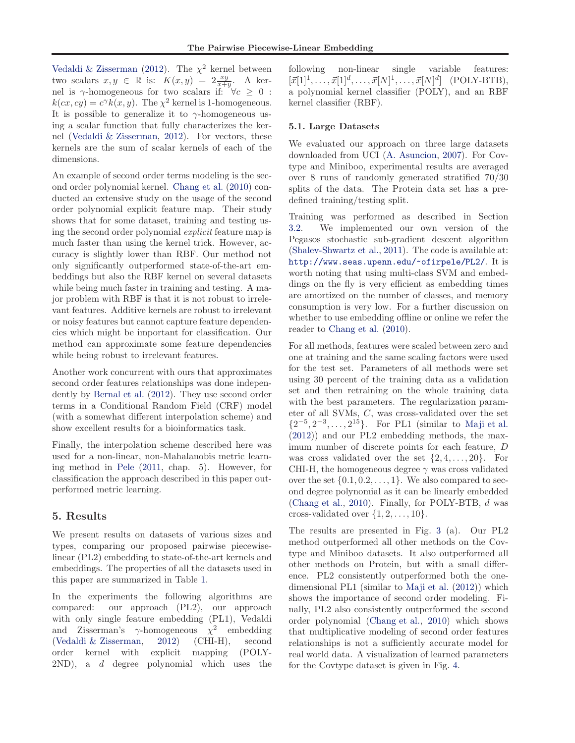<span id="page-4-0"></span>[Vedaldi & Zisserman](#page-8-0) [\(2012](#page-8-0)). The  $\chi^2$  kernel between two scalars  $x, y \in \mathbb{R}$  is:  $K(x, y) = 2 \frac{xy}{x+y}$ . A kernel is  $\gamma$ -homogeneous for two scalars if:  $\forall c \geq 0$ :  $k(cx, cy) = c^{\gamma}k(x, y)$ . The  $\chi^2$  kernel is 1-homogeneous. It is possible to generalize it to  $\gamma$ -homogeneous using a scalar function that fully characterizes the kernel [\(Vedaldi & Zisserman,](#page-8-0) [2012\)](#page-8-0). For vectors, these kernels are the sum of scalar kernels of each of the dimensions.

An example of second order terms modeling is the second order polynomial kernel. [Chang et al.](#page-8-0) [\(2010\)](#page-8-0) conducted an extensive study on the usage of the second order polynomial explicit feature map. Their study shows that for some dataset, training and testing using the second order polynomial *explicit* feature map is much faster than using the kernel trick. However, accuracy is slightly lower than RBF. Our method not only significantly outperformed state-of-the-art embeddings but also the RBF kernel on several datasets while being much faster in training and testing. A major problem with RBF is that it is not robust to irrelevant features. Additive kernels are robust to irrelevant or noisy features but cannot capture feature dependencies which might be important for classification. Our method can approximate some feature dependencies while being robust to irrelevant features.

Another work concurrent with ours that approximates second order features relationships was done independently by [Bernal et al.](#page-8-0) [\(2012\)](#page-8-0). They use second order terms in a Conditional Random Field (CRF) model (with a somewhat different interpolation scheme) and show excellent results for a bioinformatics task.

Finally, the interpolation scheme described here was used for a non-linear, non-Mahalanobis metric learning method in [Pele](#page-8-0) [\(2011,](#page-8-0) chap. 5). However, for classification the approach described in this paper outperformed metric learning.

## 5. Results

We present results on datasets of various sizes and types, comparing our proposed pairwise piecewiselinear (PL2) embedding to state-of-the-art kernels and embeddings. The properties of all the datasets used in this paper are summarized in Table [1.](#page-5-0)

In the experiments the following algorithms are compared: our approach (PL2), our approach with only single feature embedding (PL1), Vedaldi and Zisserman's  $\gamma$ -homogeneous  $\chi^2$  embedding [\(Vedaldi & Zisserman](#page-8-0), [2012\)](#page-8-0) (CHI-H), second order kernel with explicit mapping (POLY-2ND), a d degree polynomial which uses the

following non-linear single variable features:  $[\vec{x}[1]^1, \ldots, \vec{x}[1]^d, \ldots, \vec{x}[N]^1, \ldots, \vec{x}[N]^d]$  (POLY-BTB), a polynomial kernel classifier (POLY), and an RBF kernel classifier (RBF).

### 5.1. Large Datasets

We evaluated our approach on three large datasets downloaded from UCI [\(A. Asuncion](#page-8-0), [2007\)](#page-8-0). For Covtype and Miniboo, experimental results are averaged over 8 runs of randomly generated stratified 70/30 splits of the data. The Protein data set has a predefined training/testing split.

Training was performed as described in Section [3.2.](#page-3-0) We implemented our own version of the Pegasos stochastic sub-gradient descent algorithm [\(Shalev-Shwartz et al.,](#page-8-0) [2011\)](#page-8-0). The code is available at: <http://www.seas.upenn.edu/~ofirpele/PL2/>. It is worth noting that using multi-class SVM and embeddings on the fly is very efficient as embedding times are amortized on the number of classes, and memory consumption is very low. For a further discussion on whether to use embedding offline or online we refer the reader to [Chang et al.](#page-8-0) [\(2010\)](#page-8-0).

For all methods, features were scaled between zero and one at training and the same scaling factors were used for the test set. Parameters of all methods were set using 30 percent of the training data as a validation set and then retraining on the whole training data with the best parameters. The regularization parameter of all SVMs, C, was cross-validated over the set  $\{2^{-5}, 2^{-3}, \ldots, 2^{15}\}.$  For PL1 (similar to [Maji et al.](#page-8-0) [\(2012](#page-8-0))) and our PL2 embedding methods, the maximum number of discrete points for each feature, D was cross validated over the set  $\{2, 4, \ldots, 20\}$ . For CHI-H, the homogeneous degree  $\gamma$  was cross validated over the set  $\{0.1, 0.2, \ldots, 1\}$ . We also compared to second degree polynomial as it can be linearly embedded [\(Chang et al.](#page-8-0), [2010\)](#page-8-0). Finally, for POLY-BTB, d was cross-validated over  $\{1, 2, \ldots, 10\}$ .

The results are presented in Fig. [3](#page-5-0) (a). Our PL2 method outperformed all other methods on the Covtype and Miniboo datasets. It also outperformed all other methods on Protein, but with a small difference. PL2 consistently outperformed both the onedimensional PL1 (similar to [Maji et al.](#page-8-0) [\(2012](#page-8-0))) which shows the importance of second order modeling. Finally, PL2 also consistently outperformed the second order polynomial [\(Chang et al.](#page-8-0), [2010\)](#page-8-0) which shows that multiplicative modeling of second order features relationships is not a sufficiently accurate model for real world data. A visualization of learned parameters for the Covtype dataset is given in Fig. [4.](#page-6-0)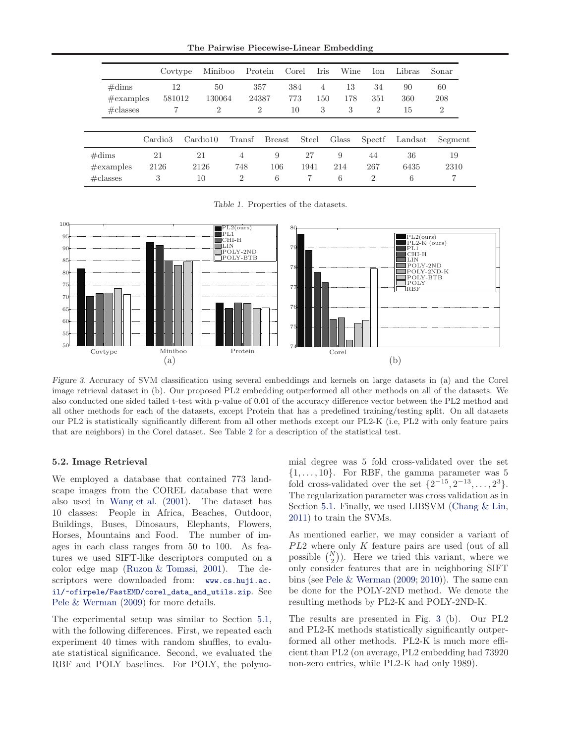The Pairwise Piecewise-Linear Embedding

<span id="page-5-0"></span>

|                                                        |    | Covtype             |                  | Miniboo                        |        | Protein<br>Corel                            |                  | Iris                       | Wine           | Ion                         | Libras          | Sonar                       |  |
|--------------------------------------------------------|----|---------------------|------------------|--------------------------------|--------|---------------------------------------------|------------------|----------------------------|----------------|-----------------------------|-----------------|-----------------------------|--|
| $\#\text{dims}$<br>$\#\text{examples}$<br>$\#$ classes |    | 12<br>581012        |                  | 50<br>130064<br>$\overline{2}$ |        | 357<br>24387<br>$\overline{2}$              | 384<br>773<br>10 | $\overline{4}$<br>150<br>3 | 13<br>178<br>3 | 34<br>351<br>$\overline{2}$ | 90<br>360<br>15 | 60<br>208<br>$\overline{2}$ |  |
|                                                        |    | Cardio <sub>3</sub> | Cardio10         |                                | Transf | <b>Breast</b>                               |                  | Steel                      | Glass          | Spectf                      | Landsat         | Segment                     |  |
| $\#\text{dims}$<br>$\#\text{examples}$<br>$\#$ classes | 21 | 2126<br>3           | 21<br>2126<br>10 |                                |        | 9<br>4<br>748<br>106<br>6<br>$\overline{2}$ |                  | 27<br>1941<br>7            | 9<br>214<br>6  | 44<br>267<br>$\overline{2}$ | 36<br>6435<br>6 | 19<br>2310                  |  |

Table 1. Properties of the datasets.



Figure 3. Accuracy of SVM classification using several embeddings and kernels on large datasets in (a) and the Corel image retrieval dataset in (b). Our proposed PL2 embedding outperformed all other methods on all of the datasets. We also conducted one sided tailed t-test with p-value of 0.01 of the accuracy difference vector between the PL2 method and all other methods for each of the datasets, except Protein that has a predefined training/testing split. On all datasets our PL2 is statistically significantly different from all other methods except our PL2-K (i.e, PL2 with only feature pairs that are neighbors) in the Corel dataset. See Table [2](#page-7-0) for a description of the statistical test.

#### 5.2. Image Retrieval

We employed a database that contained 773 landscape images from the COREL database that were also used in [Wang et al.](#page-8-0) [\(2001\)](#page-8-0). The dataset has 10 classes: People in Africa, Beaches, Outdoor, Buildings, Buses, Dinosaurs, Elephants, Flowers, Horses, Mountains and Food. The number of images in each class ranges from 50 to 100. As features we used SIFT-like descriptors computed on a color edge map [\(Ruzon & Tomasi](#page-8-0), [2001\)](#page-8-0). The descriptors were downloaded from: [www.cs.huji.ac.](www.cs.huji.ac.il/~ofirpele/FastEMD/corel_data_and_utils.zip) [il/~ofirpele/FastEMD/corel\\_data\\_and\\_utils.zip](www.cs.huji.ac.il/~ofirpele/FastEMD/corel_data_and_utils.zip). See [Pele & Werman](#page-8-0) [\(2009\)](#page-8-0) for more details.

The experimental setup was similar to Section [5.1,](#page-4-0) with the following differences. First, we repeated each experiment 40 times with random shuffles, to evaluate statistical significance. Second, we evaluated the RBF and POLY baselines. For POLY, the polynomial degree was 5 fold cross-validated over the set  $\{1, \ldots, 10\}$ . For RBF, the gamma parameter was 5 fold cross-validated over the set  $\{2^{-15}, 2^{-13}, \ldots, 2^3\}.$ The regularization parameter was cross validation as in Section [5.1.](#page-4-0) Finally, we used LIBSVM [\(Chang & Lin,](#page-8-0) [2011\)](#page-8-0) to train the SVMs.

As mentioned earlier, we may consider a variant of  $PL2$  where only  $K$  feature pairs are used (out of all possible  $\binom{N}{2}$ . Here we tried this variant, where we only consider features that are in neighboring SIFT bins (see [Pele & Werman](#page-8-0) [\(2009;](#page-8-0) [2010\)](#page-8-0)). The same can be done for the POLY-2ND method. We denote the resulting methods by PL2-K and POLY-2ND-K.

The results are presented in Fig. 3 (b). Our PL2 and PL2-K methods statistically significantly outperformed all other methods. PL2-K is much more efficient than PL2 (on average, PL2 embedding had 73920 non-zero entries, while PL2-K had only 1989).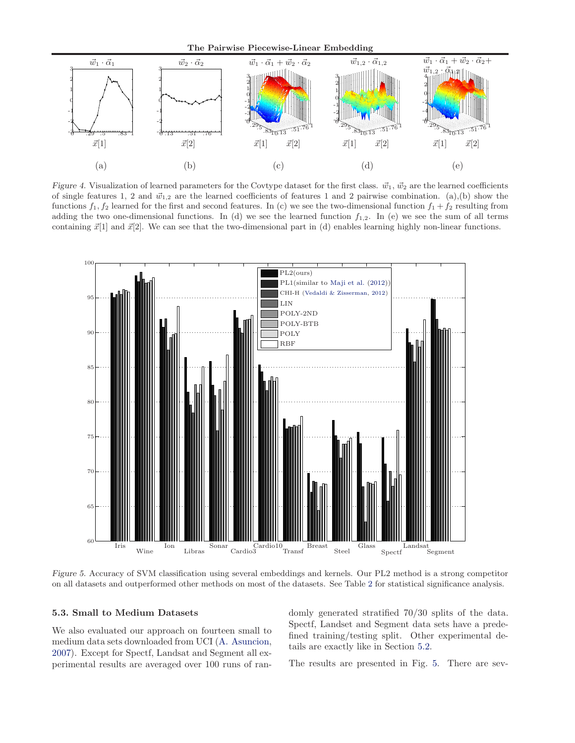The Pairwise Piecewise-Linear Embedding

<span id="page-6-0"></span>

Figure 4. Visualization of learned parameters for the Covtype dataset for the first class.  $\vec{w}_1$ ,  $\vec{w}_2$  are the learned coefficients of single features 1, 2 and  $\vec{w}_{1,2}$  are the learned coefficients of features 1 and 2 pairwise combination. (a),(b) show the functions  $f_1, f_2$  learned for the first and second features. In (c) we see the two-dimensional function  $f_1 + f_2$  resulting from adding the two one-dimensional functions. In (d) we see the learned function  $f_{1,2}$ . In (e) we see the sum of all terms containing  $\vec{x}[1]$  and  $\vec{x}[2]$ . We can see that the two-dimensional part in (d) enables learning highly non-linear functions.



Figure 5. Accuracy of SVM classification using several embeddings and kernels. Our PL2 method is a strong competitor on all datasets and outperformed other methods on most of the datasets. See Table [2](#page-7-0) for statistical significance analysis.

#### 5.3. Small to Medium Datasets

We also evaluated our approach on fourteen small to medium data sets downloaded from UCI [\(A. Asuncion,](#page-8-0) [2007\)](#page-8-0). Except for Spectf, Landsat and Segment all experimental results are averaged over 100 runs of randomly generated stratified 70/30 splits of the data. Spectf, Landset and Segment data sets have a predefined training/testing split. Other experimental details are exactly like in Section [5.2.](#page-5-0)

The results are presented in Fig. 5. There are sev-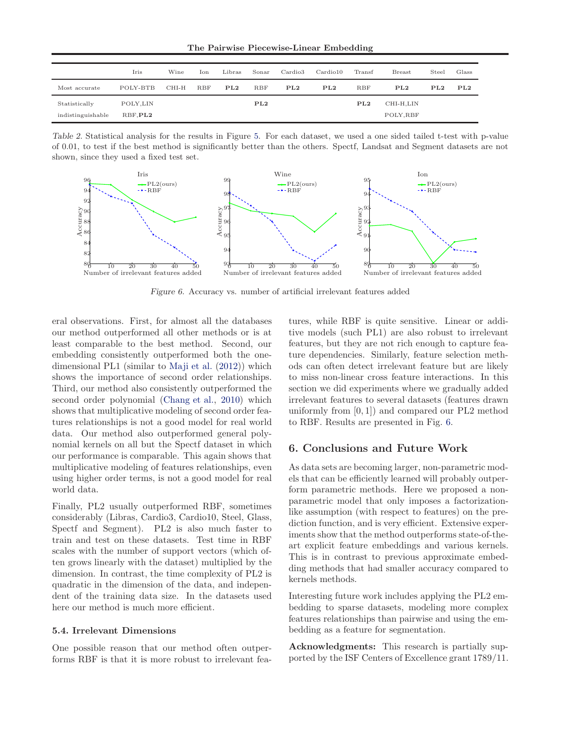The Pairwise Piecewise-Linear Embedding

<span id="page-7-0"></span>

|                   | Iris     | Wine  | Ion        | Libras | Sonar      | Cardio3 | Cardio10 | Transf | <b>Breast</b> | Steel | Glass |
|-------------------|----------|-------|------------|--------|------------|---------|----------|--------|---------------|-------|-------|
| Most accurate     | POLY-BTB | CHI-H | <b>RBF</b> | PL2    | <b>RBF</b> | PL2     | PL2      | RBF    | PL2           | PL2   | PL2   |
| Statistically     | POLY.LIN |       |            |        | PL2        |         |          | PL2    | CHI-H,LIN     |       |       |
| indistinguishable | RBF.PL2  |       |            |        |            |         |          |        | POLY, RBF     |       |       |

Table 2. Statistical analysis for the results in Figure [5.](#page-6-0) For each dataset, we used a one sided tailed t-test with p-value of 0.01, to test if the best method is significantly better than the others. Spectf, Landsat and Segment datasets are not shown, since they used a fixed test set.



Figure 6. Accuracy vs. number of artificial irrelevant features added

eral observations. First, for almost all the databases our method outperformed all other methods or is at least comparable to the best method. Second, our embedding consistently outperformed both the onedimensional PL1 (similar to [Maji et al.](#page-8-0) [\(2012](#page-8-0))) which shows the importance of second order relationships. Third, our method also consistently outperformed the second order polynomial [\(Chang et al.,](#page-8-0) [2010\)](#page-8-0) which shows that multiplicative modeling of second order features relationships is not a good model for real world data. Our method also outperformed general polynomial kernels on all but the Spectf dataset in which our performance is comparable. This again shows that multiplicative modeling of features relationships, even using higher order terms, is not a good model for real world data.

Finally, PL2 usually outperformed RBF, sometimes considerably (Libras, Cardio3, Cardio10, Steel, Glass, Spectf and Segment). PL2 is also much faster to train and test on these datasets. Test time in RBF scales with the number of support vectors (which often grows linearly with the dataset) multiplied by the dimension. In contrast, the time complexity of PL2 is quadratic in the dimension of the data, and independent of the training data size. In the datasets used here our method is much more efficient.

#### 5.4. Irrelevant Dimensions

One possible reason that our method often outperforms RBF is that it is more robust to irrelevant features, while RBF is quite sensitive. Linear or additive models (such PL1) are also robust to irrelevant features, but they are not rich enough to capture feature dependencies. Similarly, feature selection methods can often detect irrelevant feature but are likely to miss non-linear cross feature interactions. In this section we did experiments where we gradually added irrelevant features to several datasets (features drawn uniformly from [0, 1]) and compared our PL2 method to RBF. Results are presented in Fig. 6.

## 6. Conclusions and Future Work

As data sets are becoming larger, non-parametric models that can be efficiently learned will probably outperform parametric methods. Here we proposed a nonparametric model that only imposes a factorizationlike assumption (with respect to features) on the prediction function, and is very efficient. Extensive experiments show that the method outperforms state-of-theart explicit feature embeddings and various kernels. This is in contrast to previous approximate embedding methods that had smaller accuracy compared to kernels methods.

Interesting future work includes applying the PL2 embedding to sparse datasets, modeling more complex features relationships than pairwise and using the embedding as a feature for segmentation.

Acknowledgments: This research is partially supported by the ISF Centers of Excellence grant 1789/11.